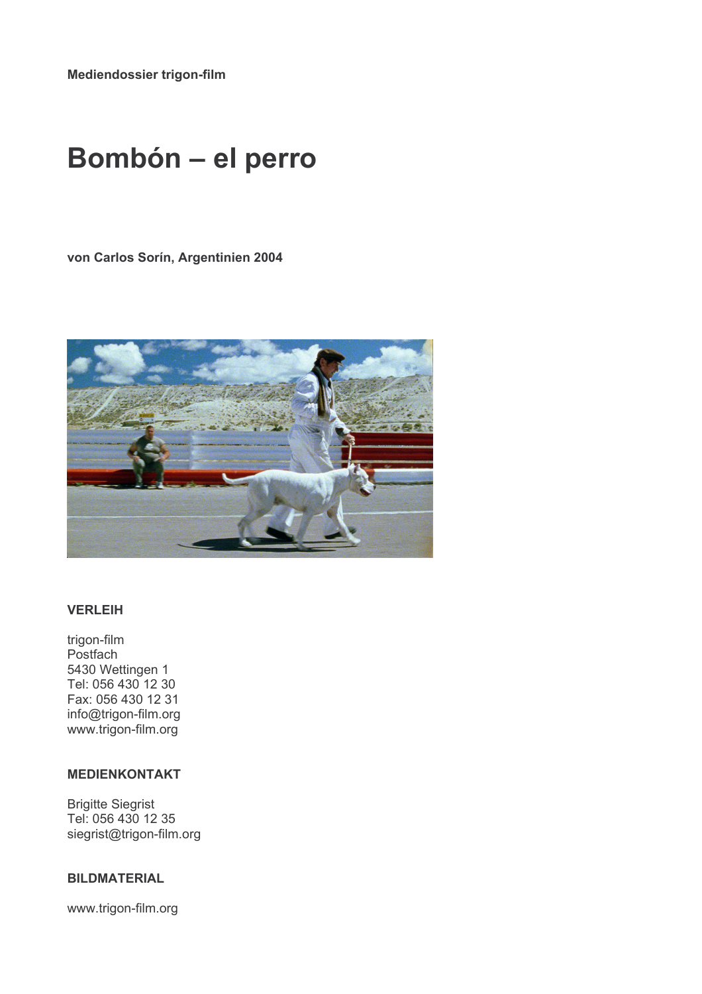Mediendossier trigon-film

# **Bombón - el perro**

von Carlos Sorín, Argentinien 2004



## **VERLEIH**

trigon-film Postfach 5430 Wettingen 1 Tel: 056 430 12 30 Fax: 056 430 12 31 info@trigon-film.org www.trigon-film.org

# **MEDIENKONTAKT**

**Brigitte Siegrist** Tel: 056 430 12 35 siegrist@trigon-film.org

## **BILDMATERIAL**

www.trigon-film.org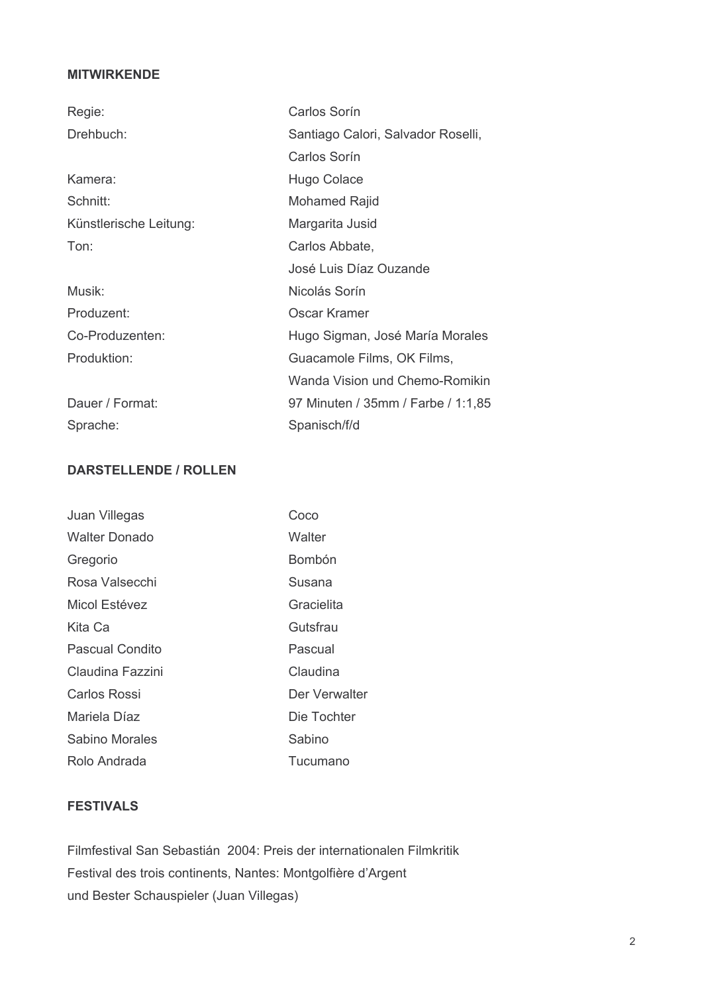# **MITWIRKENDE**

| Regie:                 | Carlos Sorín                       |
|------------------------|------------------------------------|
| Drehbuch:              | Santiago Calori, Salvador Roselli, |
|                        | Carlos Sorín                       |
| Kamera:                | Hugo Colace                        |
| Schnitt:               | Mohamed Rajid                      |
| Künstlerische Leitung: | Margarita Jusid                    |
| Ton:                   | Carlos Abbate,                     |
|                        | José Luis Díaz Ouzande             |
| Musik:                 | Nicolás Sorín                      |
| Produzent:             | Oscar Kramer                       |
| Co-Produzenten:        | Hugo Sigman, José María Morales    |
| Produktion:            | Guacamole Films, OK Films,         |
|                        | Wanda Vision und Chemo-Romikin     |
| Dauer / Format:        | 97 Minuten / 35mm / Farbe / 1:1,85 |
| Sprache:               | Spanisch/f/d                       |

# **DARSTELLENDE / ROLLEN**

| Juan Villegas          | Coco          |
|------------------------|---------------|
| <b>Walter Donado</b>   | Walter        |
| Gregorio               | Bombón        |
| Rosa Valsecchi         | Susana        |
| Micol Estévez          | Gracielita    |
| Kita Ca                | Gutsfrau      |
| <b>Pascual Condito</b> | Pascual       |
| Claudina Fazzini       | Claudina      |
| <b>Carlos Rossi</b>    | Der Verwalter |
| Mariela Díaz           | Die Tochter   |
| Sabino Morales         | Sabino        |
| Rolo Andrada           | Tucumano      |

# **FESTIVALS**

Filmfestival San Sebastián 2004: Preis der internationalen Filmkritik Festival des trois continents, Nantes: Montgolfière d'Argent und Bester Schauspieler (Juan Villegas)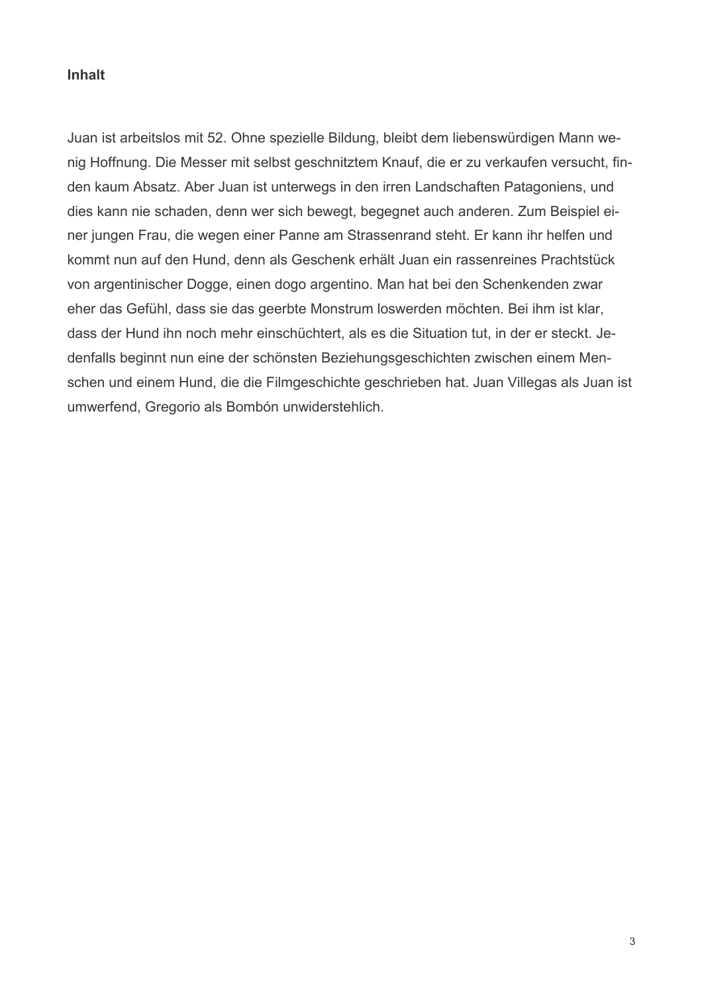# **Inhalt**

Juan ist arbeitslos mit 52. Ohne spezielle Bildung, bleibt dem liebenswürdigen Mann wenig Hoffnung. Die Messer mit selbst geschnitztem Knauf, die er zu verkaufen versucht, finden kaum Absatz. Aber Juan ist unterwegs in den irren Landschaften Patagoniens, und dies kann nie schaden, denn wer sich bewegt, begegnet auch anderen. Zum Beispiel einer jungen Frau, die wegen einer Panne am Strassenrand steht. Er kann ihr helfen und kommt nun auf den Hund, denn als Geschenk erhält Juan ein rassenreines Prachtstück von argentinischer Dogge, einen dogo argentino. Man hat bei den Schenkenden zwar eher das Gefühl, dass sie das geerbte Monstrum loswerden möchten. Bei ihm ist klar, dass der Hund ihn noch mehr einschüchtert, als es die Situation tut, in der er steckt. Jedenfalls beginnt nun eine der schönsten Beziehungsgeschichten zwischen einem Menschen und einem Hund, die die Filmgeschichte geschrieben hat. Juan Villegas als Juan ist umwerfend, Gregorio als Bombón unwiderstehlich.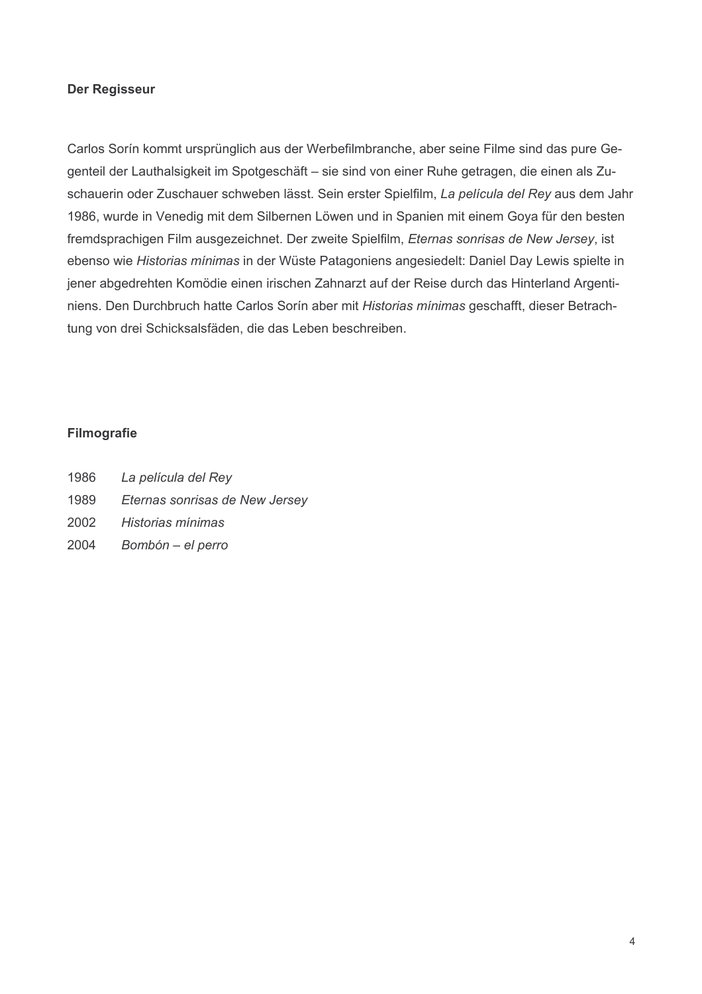## **Der Regisseur**

Carlos Sorín kommt ursprünglich aus der Werbefilmbranche, aber seine Filme sind das pure Gegenteil der Lauthalsigkeit im Spotgeschäft - sie sind von einer Ruhe getragen, die einen als Zuschauerin oder Zuschauer schweben lässt. Sein erster Spielfilm, La película del Rey aus dem Jahr 1986, wurde in Venedig mit dem Silbernen Löwen und in Spanien mit einem Goya für den besten fremdsprachigen Film ausgezeichnet. Der zweite Spielfilm, Eternas sonrisas de New Jersey, ist ebenso wie Historias mínimas in der Wüste Patagoniens angesiedelt: Daniel Day Lewis spielte in jener abgedrehten Komödie einen irischen Zahnarzt auf der Reise durch das Hinterland Argentiniens. Den Durchbruch hatte Carlos Sorín aber mit Historias mínimas geschafft, dieser Betrachtung von drei Schicksalsfäden, die das Leben beschreiben.

## **Filmografie**

- 1986 La película del Rev
- 1989 Eternas sonrisas de New Jersey
- 2002 Historias mínimas
- 2004 Bombón - el perro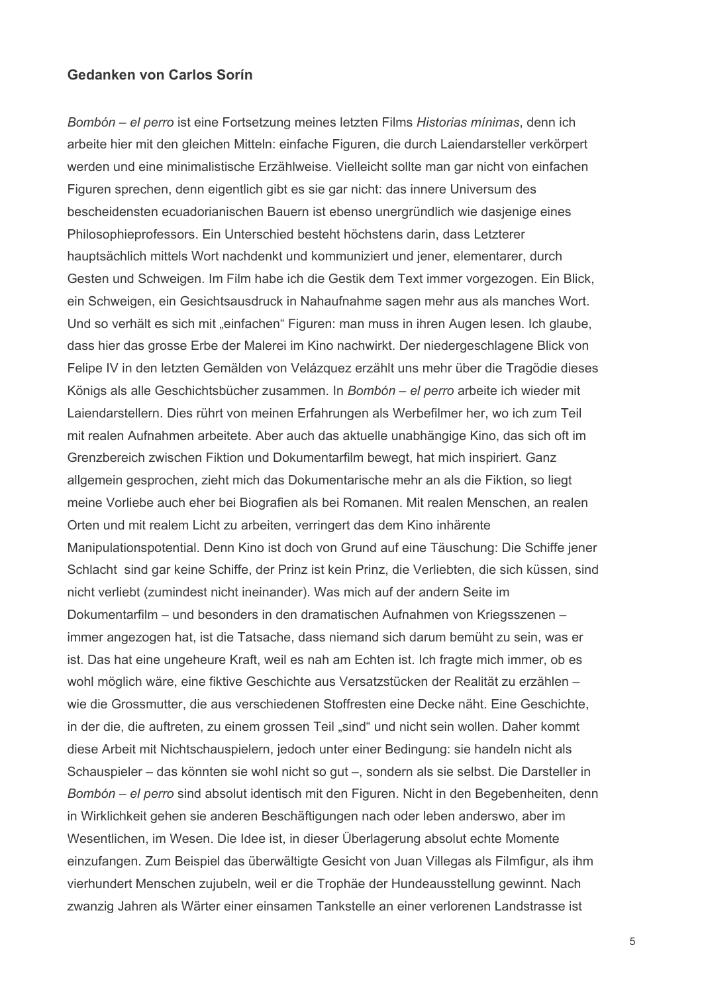## Gedanken von Carlos Sorín

Bombón – el perro ist eine Fortsetzung meines letzten Films Historias mínimas, denn ich arbeite hier mit den gleichen Mitteln: einfache Figuren, die durch Laiendarsteller verkörpert werden und eine minimalistische Erzählweise. Vielleicht sollte man gar nicht von einfachen Figuren sprechen, denn eigentlich gibt es sie gar nicht: das innere Universum des bescheidensten ecuadorianischen Bauern ist ebenso unergründlich wie dasjenige eines Philosophieprofessors. Ein Unterschied besteht höchstens darin, dass Letzterer hauptsächlich mittels Wort nachdenkt und kommuniziert und jener, elementarer, durch Gesten und Schweigen. Im Film habe ich die Gestik dem Text immer vorgezogen. Ein Blick, ein Schweigen, ein Gesichtsausdruck in Nahaufnahme sagen mehr aus als manches Wort. Und so verhält es sich mit "einfachen" Figuren: man muss in ihren Augen lesen. Ich glaube, dass hier das grosse Erbe der Malerei im Kino nachwirkt. Der niedergeschlagene Blick von Felipe IV in den letzten Gemälden von Velázguez erzählt uns mehr über die Tragödie dieses Königs als alle Geschichtsbücher zusammen. In Bombón - el perro arbeite ich wieder mit Laiendarstellern. Dies rührt von meinen Erfahrungen als Werbefilmer her, wo ich zum Teil mit realen Aufnahmen arbeitete. Aber auch das aktuelle unabhängige Kino, das sich oft im Grenzbereich zwischen Fiktion und Dokumentarfilm bewegt, hat mich inspiriert. Ganz allgemein gesprochen, zieht mich das Dokumentarische mehr an als die Fiktion, so liegt meine Vorliebe auch eher bei Biografien als bei Romanen. Mit realen Menschen, an realen Orten und mit realem Licht zu arbeiten, verringert das dem Kino inhärente Manipulationspotential. Denn Kino ist doch von Grund auf eine Täuschung: Die Schiffe jener Schlacht sind gar keine Schiffe, der Prinz ist kein Prinz, die Verliebten, die sich küssen, sind nicht verliebt (zumindest nicht ineinander). Was mich auf der andern Seite im Dokumentarfilm – und besonders in den dramatischen Aufnahmen von Kriegsszenen – immer angezogen hat, ist die Tatsache, dass niemand sich darum bemüht zu sein, was er ist. Das hat eine ungeheure Kraft, weil es nah am Echten ist. Ich fragte mich immer, ob es wohl möglich wäre, eine fiktive Geschichte aus Versatzstücken der Realität zu erzählen wie die Grossmutter, die aus verschiedenen Stoffresten eine Decke näht. Eine Geschichte, in der die, die auftreten, zu einem grossen Teil "sind" und nicht sein wollen. Daher kommt diese Arbeit mit Nichtschauspielern, jedoch unter einer Bedingung: sie handeln nicht als Schauspieler – das könnten sie wohl nicht so gut –, sondern als sie selbst. Die Darsteller in Bombón – el perro sind absolut identisch mit den Figuren. Nicht in den Begebenheiten, denn in Wirklichkeit gehen sie anderen Beschäftigungen nach oder leben anderswo, aber im Wesentlichen, im Wesen. Die Idee ist, in dieser Überlagerung absolut echte Momente einzufangen. Zum Beispiel das überwältigte Gesicht von Juan Villegas als Filmfigur, als ihm vierhundert Menschen zujubeln, weil er die Trophäe der Hundeausstellung gewinnt. Nach zwanzig Jahren als Wärter einer einsamen Tankstelle an einer verlorenen Landstrasse ist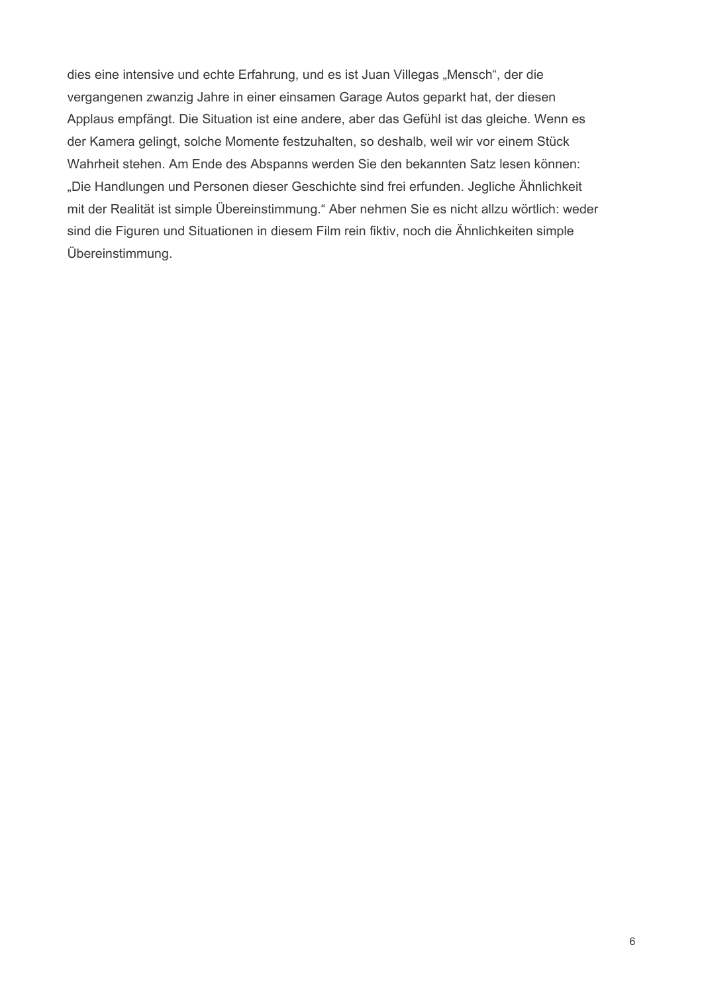dies eine intensive und echte Erfahrung, und es ist Juan Villegas "Mensch", der die vergangenen zwanzig Jahre in einer einsamen Garage Autos geparkt hat, der diesen Applaus empfängt. Die Situation ist eine andere, aber das Gefühl ist das gleiche. Wenn es der Kamera gelingt, solche Momente festzuhalten, so deshalb, weil wir vor einem Stück Wahrheit stehen. Am Ende des Abspanns werden Sie den bekannten Satz lesen können: "Die Handlungen und Personen dieser Geschichte sind frei erfunden. Jegliche Ähnlichkeit mit der Realität ist simple Übereinstimmung." Aber nehmen Sie es nicht allzu wörtlich: weder sind die Figuren und Situationen in diesem Film rein fiktiv, noch die Ähnlichkeiten simple Übereinstimmung.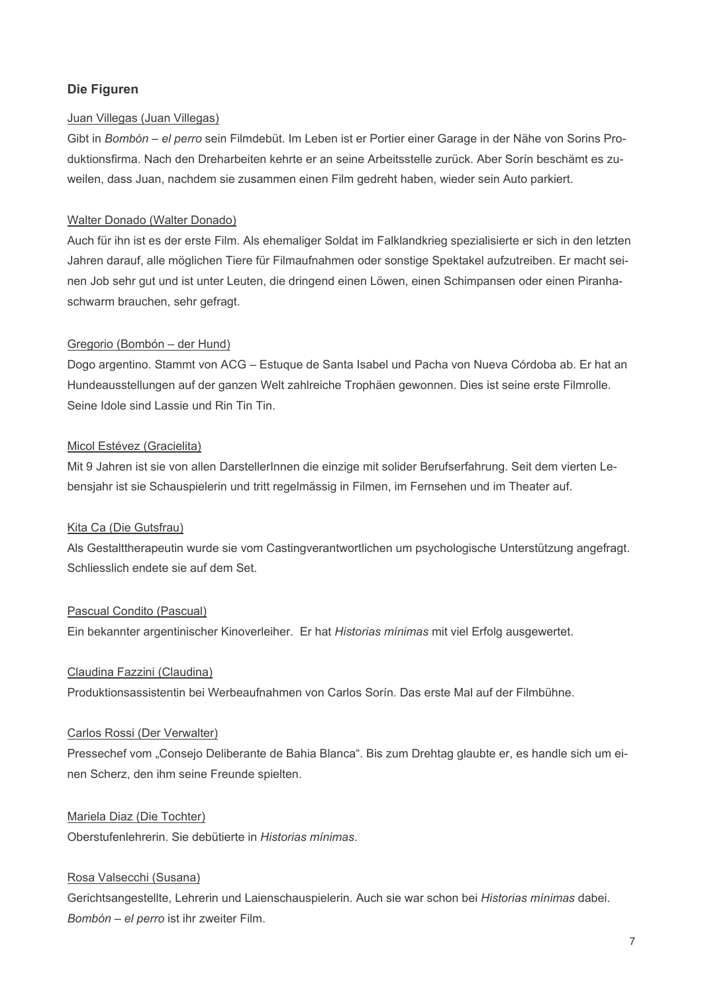## Die Figuren

## Juan Villegas (Juan Villegas)

Gibt in Bombón - el perro sein Filmdebüt. Im Leben ist er Portier einer Garage in der Nähe von Sorins Produktionsfirma. Nach den Dreharbeiten kehrte er an seine Arbeitsstelle zurück. Aber Sorín beschämt es zuweilen, dass Juan, nachdem sie zusammen einen Film gedreht haben, wieder sein Auto parkiert.

## Walter Donado (Walter Donado)

Auch für ihn ist es der erste Film. Als ehemaliger Soldat im Falklandkrieg spezialisierte er sich in den letzten Jahren darauf, alle möglichen Tiere für Filmaufnahmen oder sonstige Spektakel aufzutreiben. Er macht seinen Job sehr aut und ist unter Leuten, die dringend einen Löwen, einen Schimpansen oder einen Piranhaschwarm brauchen, sehr gefragt.

#### Gregorio (Bombón - der Hund)

Dogo argentino. Stammt von ACG - Estuque de Santa Isabel und Pacha von Nueva Córdoba ab. Er hat an Hundeausstellungen auf der ganzen Welt zahlreiche Trophäen gewonnen. Dies ist seine erste Filmrolle. Seine Idole sind Lassie und Rin Tin Tin.

#### Micol Estévez (Gracielita)

Mit 9 Jahren ist sie von allen DarstellerInnen die einzige mit solider Berufserfahrung. Seit dem vierten Lebensjahr ist sie Schauspielerin und tritt regelmässig in Filmen, im Fernsehen und im Theater auf.

#### Kita Ca (Die Gutsfrau)

Als Gestalttherapeutin wurde sie vom Castingverantwortlichen um psychologische Unterstützung angefragt. Schliesslich endete sie auf dem Set.

#### Pascual Condito (Pascual)

Ein bekannter argentinischer Kinoverleiher. Er hat Historias mínimas mit viel Erfolg ausgewertet.

#### Claudina Fazzini (Claudina)

Produktionsassistentin bei Werbeaufnahmen von Carlos Sorín. Das erste Mal auf der Filmbühne.

## Carlos Rossi (Der Verwalter)

Pressechef vom "Consejo Deliberante de Bahia Blanca". Bis zum Drehtag glaubte er, es handle sich um einen Scherz, den ihm seine Freunde spielten.

## Mariela Diaz (Die Tochter)

Oberstufenlehrerin. Sie debütierte in Historias mínimas.

#### Rosa Valsecchi (Susana)

Gerichtsangestellte. Lehrerin und Laienschauspielerin. Auch sie war schon bei Historias mínimas dabei. Bombón - el perro ist ihr zweiter Film.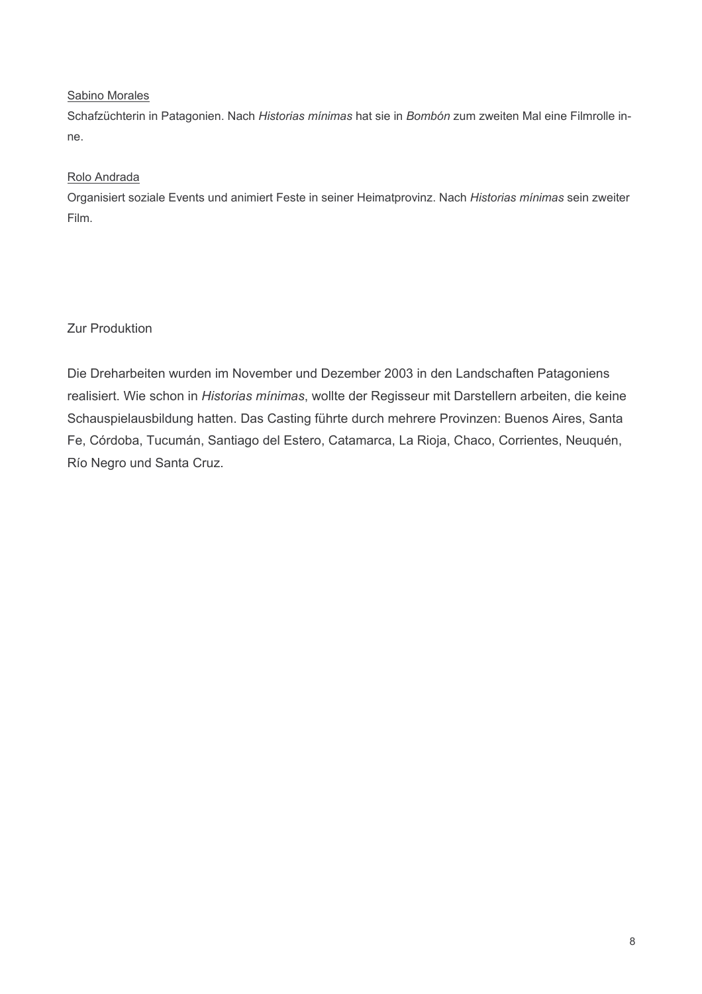## Sabino Morales

Schafzüchterin in Patagonien. Nach Historias mínimas hat sie in Bombón zum zweiten Mal eine Filmrolle inne.

# Rolo Andrada

Organisiert soziale Events und animiert Feste in seiner Heimatprovinz. Nach Historias mínimas sein zweiter Film.

**Zur Produktion** 

Die Dreharbeiten wurden im November und Dezember 2003 in den Landschaften Patagoniens realisiert. Wie schon in Historias mínimas, wollte der Regisseur mit Darstellern arbeiten, die keine Schauspielausbildung hatten. Das Casting führte durch mehrere Provinzen: Buenos Aires, Santa Fe, Córdoba, Tucumán, Santiago del Estero, Catamarca, La Rioja, Chaco, Corrientes, Neuquén, Río Negro und Santa Cruz.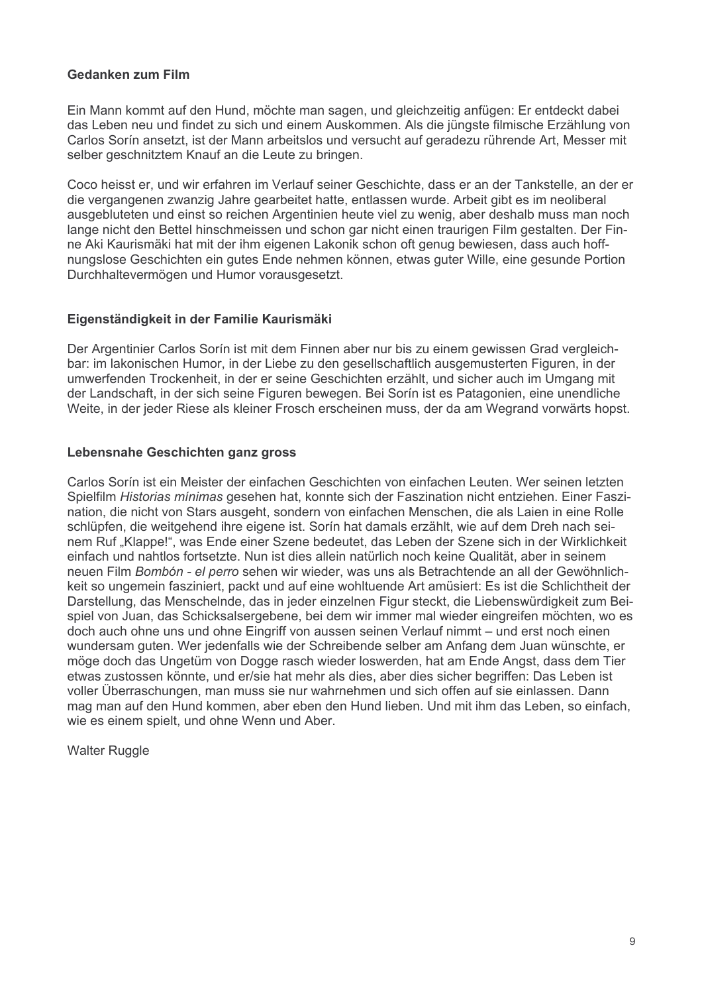## Gedanken zum Film

Ein Mann kommt auf den Hund, möchte man sagen, und gleichzeitig anfügen: Er entdeckt dabei das Leben neu und findet zu sich und einem Auskommen. Als die jüngste filmische Erzählung von Carlos Sorín ansetzt, ist der Mann arbeitslos und versucht auf geradezu rührende Art. Messer mit selber geschnitztem Knauf an die Leute zu bringen.

Coco heisst er, und wir erfahren im Verlauf seiner Geschichte, dass er an der Tankstelle, an der er die vergangenen zwanzig Jahre gearbeitet hatte, entlassen wurde. Arbeit gibt es im neoliberal ausgebluteten und einst so reichen Argentinien heute viel zu wenig, aber deshalb muss man noch lange nicht den Bettel hinschmeissen und schon gar nicht einen traurigen Film gestalten. Der Finne Aki Kaurismäki hat mit der ihm eigenen Lakonik schon oft genug bewiesen, dass auch hoffnungslose Geschichten ein gutes Ende nehmen können, etwas guter Wille, eine gesunde Portion Durchhaltevermögen und Humor vorausgesetzt.

## Eigenständigkeit in der Familie Kaurismäki

Der Argentinier Carlos Sorín ist mit dem Finnen aber nur bis zu einem gewissen Grad vergleichbar: im lakonischen Humor, in der Liebe zu den gesellschaftlich ausgemusterten Figuren, in der umwerfenden Trockenheit, in der er seine Geschichten erzählt, und sicher auch im Umgang mit der Landschaft, in der sich seine Figuren bewegen. Bei Sorín ist es Patagonien, eine unendliche Weite, in der jeder Riese als kleiner Frosch erscheinen muss, der da am Wegrand vorwärts hopst.

## Lebensnahe Geschichten ganz gross

Carlos Sorín ist ein Meister der einfachen Geschichten von einfachen Leuten. Wer seinen letzten Spielfilm Historias mínimas gesehen hat, konnte sich der Faszination nicht entziehen. Einer Faszination, die nicht von Stars ausgeht, sondern von einfachen Menschen, die als Laien in eine Rolle schlüpfen, die weitgehend ihre eigene ist. Sorin hat damals erzählt, wie auf dem Dreh nach seinem Ruf "Klappe!", was Ende einer Szene bedeutet, das Leben der Szene sich in der Wirklichkeit einfach und nahtlos fortsetzte. Nun ist dies allein natürlich noch keine Qualität, aber in seinem neuen Film Bombón - el perro sehen wir wieder, was uns als Betrachtende an all der Gewöhnlichkeit so ungemein fasziniert, packt und auf eine wohltuende Art amüsiert: Es ist die Schlichtheit der Darstellung, das Menschelnde, das in jeder einzelnen Figur steckt, die Liebenswürdigkeit zum Beispiel von Juan, das Schicksalsergebene, bei dem wir immer mal wieder eingreifen möchten, wo es doch auch ohne uns und ohne Eingriff von aussen seinen Verlauf nimmt – und erst noch einen wundersam guten. Wer jedenfalls wie der Schreibende selber am Anfang dem Juan wünschte, er möge doch das Ungetüm von Dogge rasch wieder loswerden, hat am Ende Angst, dass dem Tier etwas zustossen könnte, und er/sie hat mehr als dies, aber dies sicher begriffen: Das Leben ist voller Überraschungen, man muss sie nur wahrnehmen und sich offen auf sie einlassen. Dann mag man auf den Hund kommen, aber eben den Hund lieben. Und mit ihm das Leben, so einfach. wie es einem spielt, und ohne Wenn und Aber.

**Walter Ruggle**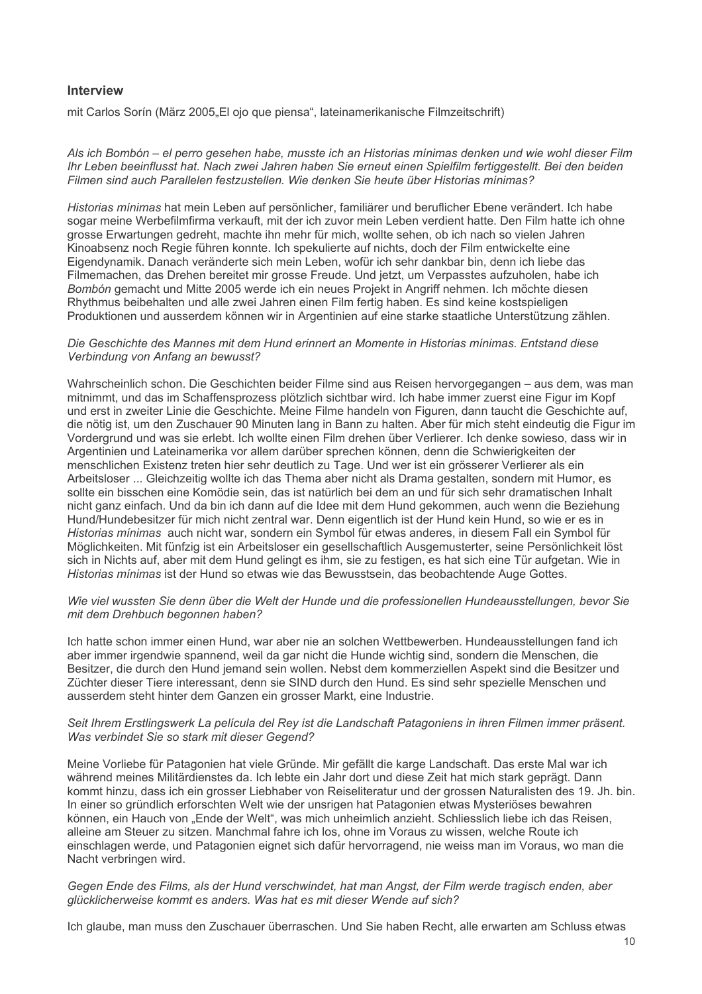## Interview

mit Carlos Sorín (März 2005, El ojo que piensa", lateinamerikanische Filmzeitschrift)

Als ich Bombón - el perro gesehen habe, musste ich an Historias mínimas denken und wie wohl dieser Film Ihr Leben beeinflusst hat. Nach zwei Jahren haben Sie erneut einen Spielfilm fertiggestellt. Bei den beiden Filmen sind auch Parallelen festzustellen. Wie denken Sie heute über Historias minimas?

Historias mínimas hat mein Leben auf persönlicher, familiärer und beruflicher Ebene verändert. Ich habe sogar meine Werbefilmfirma verkauft, mit der ich zuvor mein Leben verdient hatte. Den Film hatte ich ohne grosse Erwartungen gedreht, machte ihn mehr für mich, wollte sehen, ob ich nach so vielen Jahren Kinoabsenz noch Regie führen konnte. Ich spekulierte auf nichts, doch der Film entwickelte eine Eigendynamik. Danach veränderte sich mein Leben, wofür ich sehr dankbar bin, denn ich liebe das Filmemachen, das Drehen bereitet mir grosse Freude. Und jetzt, um Verpasstes aufzuholen, habe ich Bombón gemacht und Mitte 2005 werde ich ein neues Projekt in Angriff nehmen. Ich möchte diesen Rhythmus beibehalten und alle zwei Jahren einen Film fertig haben. Es sind keine kostspieligen Produktionen und ausserdem können wir in Argentinien auf eine starke staatliche Unterstützung zählen.

## Die Geschichte des Mannes mit dem Hund erinnert an Momente in Historias mínimas. Entstand diese Verbindung von Anfang an bewusst?

Wahrscheinlich schon. Die Geschichten beider Filme sind aus Reisen hervorgegangen – aus dem. was man mitnimmt, und das im Schaffensprozess plötzlich sichtbar wird. Ich habe immer zuerst eine Figur im Kopf und erst in zweiter Linie die Geschichte. Meine Filme handeln von Figuren, dann taucht die Geschichte auf. die nötig ist, um den Zuschauer 90 Minuten lang in Bann zu halten. Aber für mich steht eindeutig die Figur im Vordergrund und was sie erlebt. Ich wollte einen Film drehen über Verlierer, Ich denke sowieso, dass wir in Argentinien und Lateinamerika vor allem darüber sprechen können, denn die Schwierigkeiten der menschlichen Existenz treten hier sehr deutlich zu Tage. Und wer ist ein grösserer Verlierer als ein Arbeitsloser ... Gleichzeitig wollte ich das Thema aber nicht als Drama gestalten, sondern mit Humor, es sollte ein bisschen eine Komödie sein, das ist natürlich bei dem an und für sich sehr dramatischen Inhalt nicht ganz einfach. Und da bin ich dann auf die Idee mit dem Hund gekommen, auch wenn die Beziehung Hund/Hundebesitzer für mich nicht zentral war. Denn eigentlich ist der Hund kein Hund, so wie er es in Historias mínimas auch nicht war, sondern ein Symbol für etwas anderes, in diesem Fall ein Symbol für Möglichkeiten. Mit fünfzig ist ein Arbeitsloser ein gesellschaftlich Ausgemusterter, seine Persönlichkeit löst sich in Nichts auf, aber mit dem Hund gelingt es ihm, sie zu festigen, es hat sich eine Tür aufgetan. Wie in Historias mínimas ist der Hund so etwas wie das Bewusstsein, das beobachtende Auge Gottes.

#### Wie viel wussten Sie denn über die Welt der Hunde und die professionellen Hundeausstellungen, bevor Sie mit dem Drehbuch begonnen haben?

Ich hatte schon immer einen Hund, war aber nie an solchen Wettbewerben. Hundeausstellungen fand ich aber immer irgendwie spannend, weil da gar nicht die Hunde wichtig sind, sondern die Menschen, die Besitzer, die durch den Hund jemand sein wollen. Nebst dem kommerziellen Aspekt sind die Besitzer und Züchter dieser Tiere interessant, denn sie SIND durch den Hund. Es sind sehr spezielle Menschen und ausserdem steht hinter dem Ganzen ein grosser Markt, eine Industrie.

#### Seit Ihrem Erstlingswerk La película del Rey ist die Landschaft Patagoniens in ihren Filmen immer präsent. Was verbindet Sie so stark mit dieser Gegend?

Meine Vorliebe für Patagonien hat viele Gründe. Mir gefällt die karge Landschaft. Das erste Mal war ich während meines Militärdienstes da. Ich lebte ein Jahr dort und diese Zeit hat mich stark geprägt. Dann kommt hinzu, dass ich ein grosser Liebhaber von Reiseliteratur und der grossen Naturalisten des 19. Jh. bin. In einer so gründlich erforschten Welt wie der unsrigen hat Patagonien etwas Mysteriöses bewahren können, ein Hauch von "Ende der Welt", was mich unheimlich anzieht. Schliesslich liebe ich das Reisen, alleine am Steuer zu sitzen. Manchmal fahre ich los, ohne im Voraus zu wissen, welche Route ich einschlagen werde, und Patagonien eignet sich dafür hervorragend, nie weiss man im Voraus, wo man die Nacht verbringen wird.

#### Gegen Ende des Films, als der Hund verschwindet, hat man Angst, der Film werde tragisch enden, aber glücklicherweise kommt es anders. Was hat es mit dieser Wende auf sich?

Ich glaube, man muss den Zuschauer überraschen. Und Sie haben Recht, alle erwarten am Schluss etwas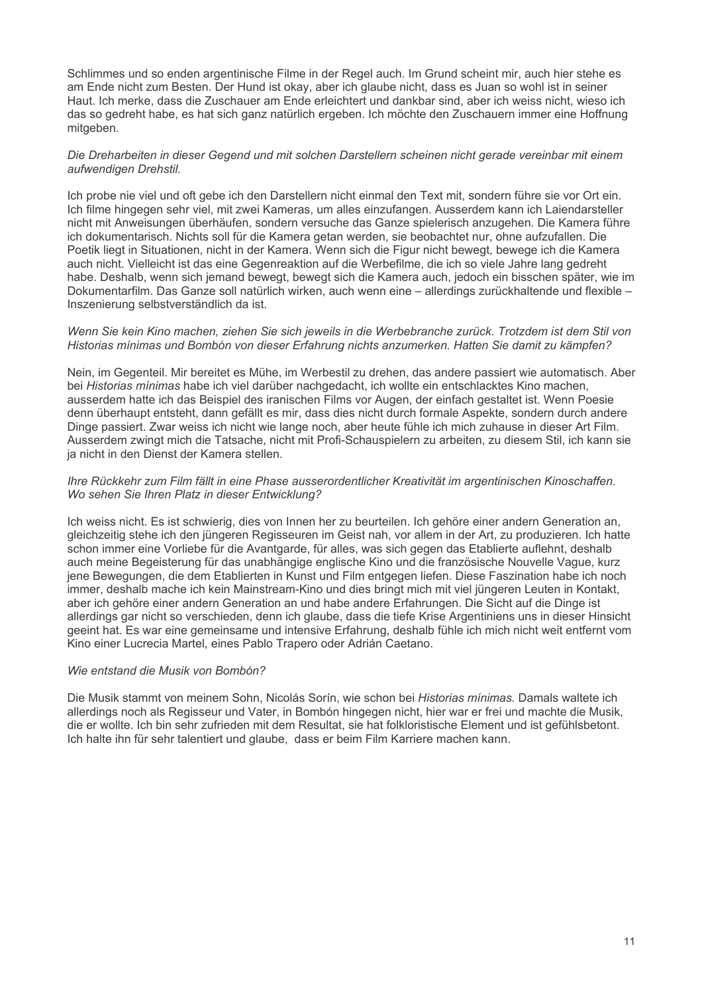Schlimmes und so enden argentinische Filme in der Regel auch. Im Grund scheint mir, auch hier stehe es am Ende nicht zum Besten. Der Hund ist okav, aber ich glaube nicht, dass es Juan so wohl ist in seiner Haut. Ich merke, dass die Zuschauer am Ende erleichtert und dankbar sind, aber ich weiss nicht, wieso ich das so gedreht habe, es hat sich ganz natürlich ergeben. Ich möchte den Zuschauern immer eine Hoffnung mitaeben.

#### Die Dreharbeiten in dieser Gegend und mit solchen Darstellern scheinen nicht gerade vereinbar mit einem aufwendigen Drehstil.

Ich probe nie viel und oft gebe ich den Darstellern nicht einmal den Text mit, sondern führe sie vor Ort ein. Ich filme hingegen sehr viel, mit zwei Kameras, um alles einzufangen. Ausserdem kann ich Laiendarsteller nicht mit Anweisungen überhäufen, sondern versuche das Ganze spielerisch anzugehen. Die Kamera führe ich dokumentarisch. Nichts soll für die Kamera getan werden, sie beobachtet nur, ohne aufzufallen. Die Poetik liegt in Situationen, nicht in der Kamera. Wenn sich die Figur nicht bewegt, bewege ich die Kamera auch nicht. Vielleicht ist das eine Gegenreaktion auf die Werbefilme, die ich so viele Jahre lang gedreht habe. Deshalb, wenn sich jemand bewegt, bewegt sich die Kamera auch, jedoch ein bisschen später, wie im Dokumentarfilm. Das Ganze soll natürlich wirken, auch wenn eine - allerdings zurückhaltende und flexible -Inszenierung selbstverständlich da ist.

#### Wenn Sie kein Kino machen, ziehen Sie sich jeweils in die Werbebranche zurück. Trotzdem ist dem Stil von Historias mínimas und Bombón von dieser Erfahrung nichts anzumerken. Hatten Sie damit zu kämpfen?

Nein, im Gegenteil, Mir bereitet es Mühe, im Werbestil zu drehen, das andere passiert wie automatisch. Aber bei Historias mínimas habe ich viel darüber nachgedacht, ich wollte ein entschlacktes Kino machen, ausserdem hatte ich das Beispiel des iranischen Films vor Augen, der einfach gestaltet ist. Wenn Poesie denn überhaupt entsteht, dann gefällt es mir, dass dies nicht durch formale Aspekte, sondern durch andere Dinge passiert. Zwar weiss ich nicht wie lange noch, aber heute fühle ich mich zuhause in dieser Art Film. Ausserdem zwingt mich die Tatsache, nicht mit Profi-Schauspielern zu arbeiten, zu diesem Stil, ich kann sie ja nicht in den Dienst der Kamera stellen.

#### Ihre Rückkehr zum Film fällt in eine Phase ausserordentlicher Kreativität im argentinischen Kinoschaffen. Wo sehen Sie Ihren Platz in dieser Entwicklung?

Ich weiss nicht. Es ist schwierig, dies von Innen her zu beurteilen. Ich gehöre einer andern Generation an, gleichzeitig stehe ich den jüngeren Regisseuren im Geist nah, vor allem in der Art, zu produzieren. Ich hatte schon immer eine Vorliebe für die Avantgarde, für alles, was sich gegen das Etablierte auflehnt, deshalb auch meine Begeisterung für das unabhängige englische Kino und die französische Nouvelle Vague, kurz jene Bewegungen, die dem Etablierten in Kunst und Film entgegen liefen. Diese Faszination habe ich noch immer, deshalb mache ich kein Mainstream-Kino und dies bringt mich mit viel jüngeren Leuten in Kontakt. aber ich gehöre einer andern Generation an und habe andere Erfahrungen. Die Sicht auf die Dinge ist allerdings gar nicht so verschieden, denn ich glaube, dass die tiefe Krise Argentiniens uns in dieser Hinsicht geeint hat. Es war eine gemeinsame und intensive Erfahrung, deshalb fühle ich mich nicht weit entfernt vom Kino einer Lucrecia Martel, eines Pablo Trapero oder Adrián Caetano.

## Wie entstand die Musik von Bombón?

Die Musik stammt von meinem Sohn. Nicolás Sorín, wie schon bei Historias mínimas. Damals waltete ich allerdings noch als Regisseur und Vater, in Bombón hingegen nicht, hier war er frei und machte die Musik, die er wollte. Ich bin sehr zufrieden mit dem Resultat, sie hat folkloristische Element und ist gefühlsbetont. Ich halte ihn für sehr talentiert und glaube. dass er beim Film Karriere machen kann.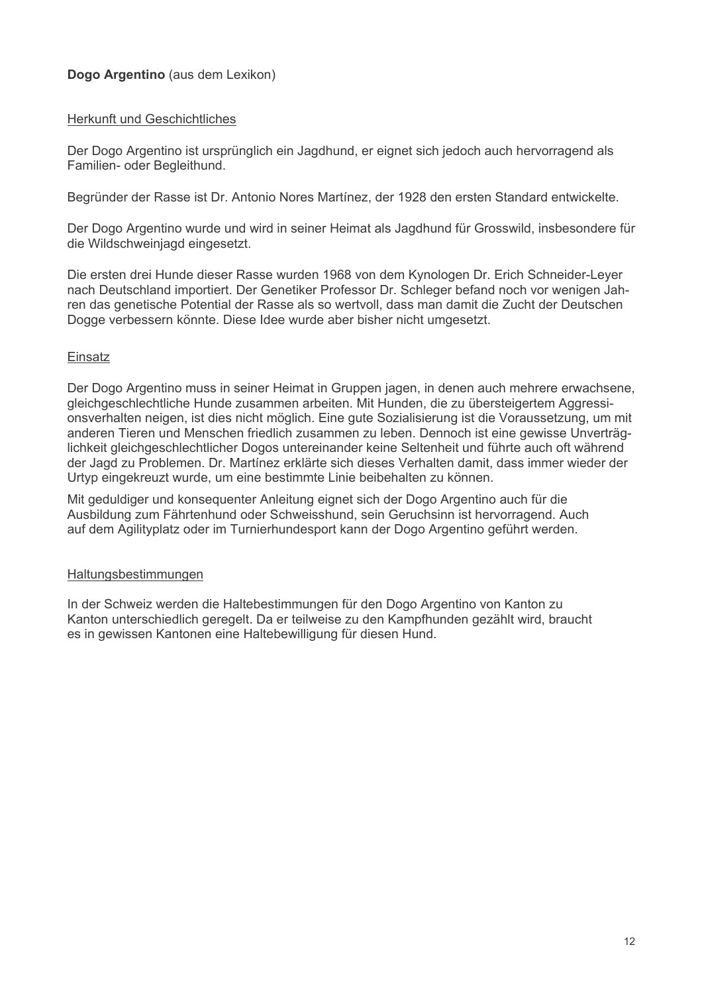## Dogo Argentino (aus dem Lexikon)

## **Herkunft und Geschichtliches**

Der Dogo Argentino ist ursprünglich ein Jagdhund, er eignet sich jedoch auch hervorragend als Familien- oder Begleithund.

Begründer der Rasse ist Dr. Antonio Nores Martínez, der 1928 den ersten Standard entwickelte.

Der Dogo Argentino wurde und wird in seiner Heimat als Jagdhund für Grosswild, insbesondere für die Wildschweinjagd eingesetzt.

Die ersten drei Hunde dieser Rasse wurden 1968 von dem Kynologen Dr. Erich Schneider-Leyer nach Deutschland importiert. Der Genetiker Professor Dr. Schleger befand noch vor wenigen Jahren das genetische Potential der Rasse als so wertvoll, dass man damit die Zucht der Deutschen Dogge verbessern könnte. Diese Idee wurde aber bisher nicht umgesetzt.

## Einsatz

Der Dogo Argentino muss in seiner Heimat in Gruppen jagen, in denen auch mehrere erwachsene. gleichgeschlechtliche Hunde zusammen arbeiten. Mit Hunden, die zu übersteigertem Aggressionsverhalten neigen, ist dies nicht möglich. Eine gute Sozialisierung ist die Voraussetzung, um mit anderen Tieren und Menschen friedlich zusammen zu leben. Dennoch ist eine gewisse Unverträglichkeit gleichgeschlechtlicher Dogos untereinander keine Seltenheit und führte auch oft während der Jagd zu Problemen. Dr. Martínez erklärte sich dieses Verhalten damit, dass immer wieder der Urtyp eingekreuzt wurde, um eine bestimmte Linie beibehalten zu können.

Mit geduldiger und konseguenter Anleitung eignet sich der Dogo Argentino auch für die Ausbildung zum Fährtenhund oder Schweisshund, sein Geruchsinn ist hervorragend. Auch auf dem Agilityplatz oder im Turnierhundesport kann der Dogo Argentino geführt werden.

## Haltungsbestimmungen

In der Schweiz werden die Haltebestimmungen für den Dogo Argentino von Kanton zu Kanton unterschiedlich geregelt. Da er teilweise zu den Kampfhunden gezählt wird, braucht es in gewissen Kantonen eine Haltebewilligung für diesen Hund.